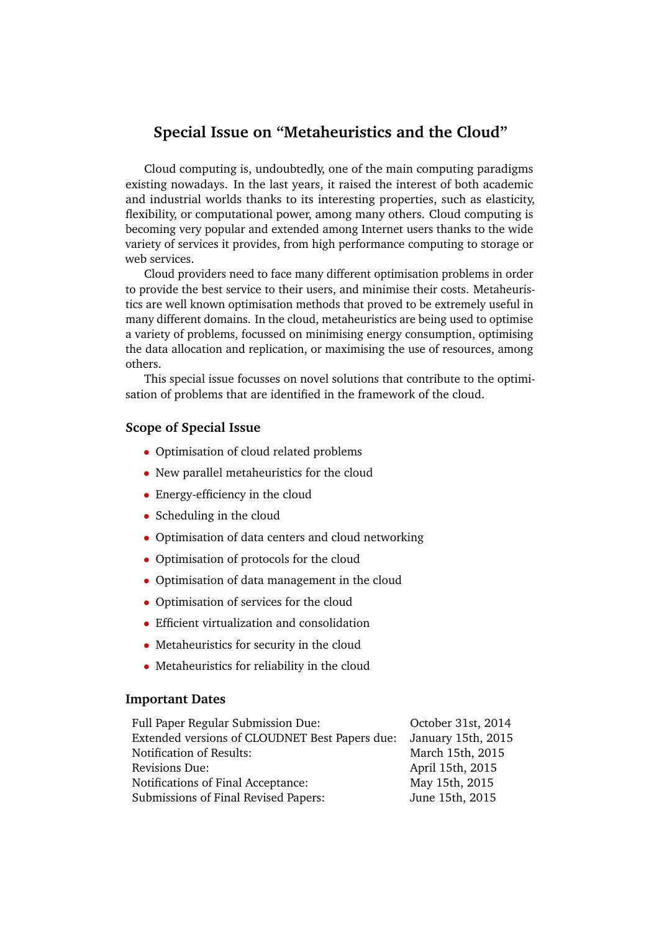# **Special Issue on "Metaheuristics and the Cloud"**

Cloud computing is, undoubtedly, one of the main computing paradigms existing nowadays. In the last years, it raised the interest of both academic and industrial worlds thanks to its interesting properties, such as elasticity, flexibility, or computational power, among many others. Cloud computing is becoming very popular and extended among Internet users thanks to the wide variety of services it provides, from high performance computing to storage or web services.

Cloud providers need to face many different optimisation problems in order to provide the best service to their users, and minimise their costs. Metaheuristics are well known optimisation methods that proved to be extremely useful in many different domains. In the cloud, metaheuristics are being used to optimise a variety of problems, focussed on minimising energy consumption, optimising the data allocation and replication, or maximising the use of resources, among others.

This special issue focusses on novel solutions that contribute to the optimisation of problems that are identified in the framework of the cloud.

### **Scope of Special Issue**

- Optimisation of cloud related problems
- New parallel metaheuristics for the cloud
- Energy-efficiency in the cloud
- Scheduling in the cloud
- Optimisation of data centers and cloud networking
- Optimisation of protocols for the cloud
- Optimisation of data management in the cloud
- Optimisation of services for the cloud
- Efficient virtualization and consolidation
- Metaheuristics for security in the cloud
- Metaheuristics for reliability in the cloud

#### **Important Dates**

| Full Paper Regular Submission Due:             | October 31st, 2014 |
|------------------------------------------------|--------------------|
| Extended versions of CLOUDNET Best Papers due: | January 15th, 2015 |
| Notification of Results:                       | March 15th, 2015   |
| Revisions Due:                                 | April 15th, 2015   |
| Notifications of Final Acceptance:             | May 15th, 2015     |
| Submissions of Final Revised Papers:           | June 15th, 2015    |
|                                                |                    |